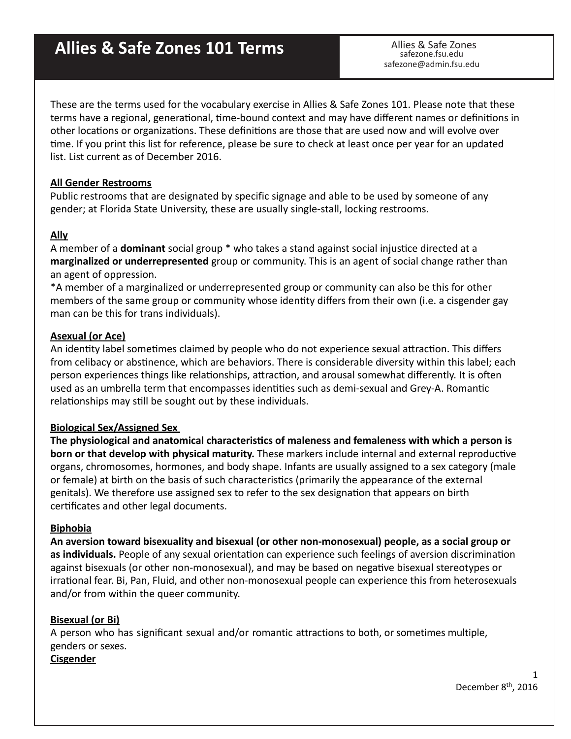# Allies & Safe Zones 101 Terms **Allies** & Safe Zones

safezone.fsu.edu safezone@admin.fsu.edu

These are the terms used for the vocabulary exercise in Allies & Safe Zones 101. Please note that these terms have a regional, generational, time-bound context and may have different names or definitions in other locations or organizations. These definitions are those that are used now and will evolve over time. If you print this list for reference, please be sure to check at least once per year for an updated list. List current as of December 2016.

#### **All Gender Restrooms**

Public restrooms that are designated by specific signage and able to be used by someone of any gender; at Florida State University, these are usually single-stall, locking restrooms.

#### **Ally**

A member of a **dominant** social group \* who takes a stand against social injustice directed at a marginalized or underrepresented group or community. This is an agent of social change rather than an agent of oppression.

\*A member of a marginalized or underrepresented group or community can also be this for other members of the same group or community whose identity differs from their own (i.e. a cisgender gay man can be this for trans individuals).

#### Asexual (or Ace)

An identity label sometimes claimed by people who do not experience sexual attraction. This differs from celibacy or abstinence, which are behaviors. There is considerable diversity within this label; each person experiences things like relationships, attraction, and arousal somewhat differently. It is often used as an umbrella term that encompasses identities such as demi-sexual and Grey-A. Romantic relationships may still be sought out by these individuals.

#### **Biological Sex/Assigned Sex**

The physiological and anatomical characteristics of maleness and femaleness with which a person is **born or that develop with physical maturity.** These markers include internal and external reproductive organs, chromosomes, hormones, and body shape. Infants are usually assigned to a sex category (male or female) at birth on the basis of such characteristics (primarily the appearance of the external genitals). We therefore use assigned sex to refer to the sex designation that appears on birth certificates and other legal documents.

#### **Biphobia**

An aversion toward bisexuality and bisexual (or other non-monosexual) people, as a social group or **as individuals.** People of any sexual orientation can experience such feelings of aversion discrimination against bisexuals (or other non-monosexual), and may be based on negative bisexual stereotypes or irrational fear. Bi, Pan, Fluid, and other non-monosexual people can experience this from heterosexuals and/or from within the queer community.

#### **Bisexual (or Bi)**

A person who has significant sexual and/or romantic attractions to both, or sometimes multiple, genders or sexes.

## **Cisgender**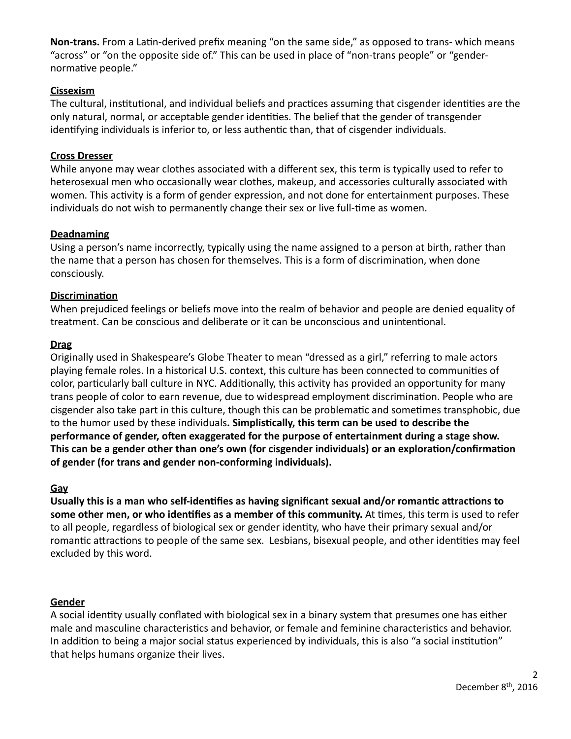Non-trans. From a Latin-derived prefix meaning "on the same side," as opposed to trans- which means "across" or "on the opposite side of." This can be used in place of "non-trans people" or "gendernormative people."

## **Cissexism**

The cultural, institutional, and individual beliefs and practices assuming that cisgender identities are the only natural, normal, or acceptable gender identities. The belief that the gender of transgender identifying individuals is inferior to, or less authentic than, that of cisgender individuals.

#### **Cross Dresser**

While anyone may wear clothes associated with a different sex, this term is typically used to refer to heterosexual men who occasionally wear clothes, makeup, and accessories culturally associated with women. This activity is a form of gender expression, and not done for entertainment purposes. These individuals do not wish to permanently change their sex or live full-time as women.

## **Deadnaming**

Using a person's name incorrectly, typically using the name assigned to a person at birth, rather than the name that a person has chosen for themselves. This is a form of discrimination, when done consciously. 

## **Discrimination**

When prejudiced feelings or beliefs move into the realm of behavior and people are denied equality of treatment. Can be conscious and deliberate or it can be unconscious and unintentional.

## **Drag**

Originally used in Shakespeare's Globe Theater to mean "dressed as a girl," referring to male actors playing female roles. In a historical U.S. context, this culture has been connected to communities of color, particularly ball culture in NYC. Additionally, this activity has provided an opportunity for many trans people of color to earn revenue, due to widespread employment discrimination. People who are cisgender also take part in this culture, though this can be problematic and sometimes transphobic, due to the humor used by these individuals. Simplistically, this term can be used to describe the performance of gender, often exaggerated for the purpose of entertainment during a stage show. This can be a gender other than one's own (for cisgender individuals) or an exploration/confirmation of gender (for trans and gender non-conforming individuals).

#### **Gay**

Usually this is a man who self-identifies as having significant sexual and/or romantic attractions to some other men, or who identifies as a member of this community. At times, this term is used to refer to all people, regardless of biological sex or gender identity, who have their primary sexual and/or romantic attractions to people of the same sex. Lesbians, bisexual people, and other identities may feel excluded by this word.

#### **Gender**

A social identity usually conflated with biological sex in a binary system that presumes one has either male and masculine characteristics and behavior, or female and feminine characteristics and behavior. In addition to being a major social status experienced by individuals, this is also "a social institution" that helps humans organize their lives.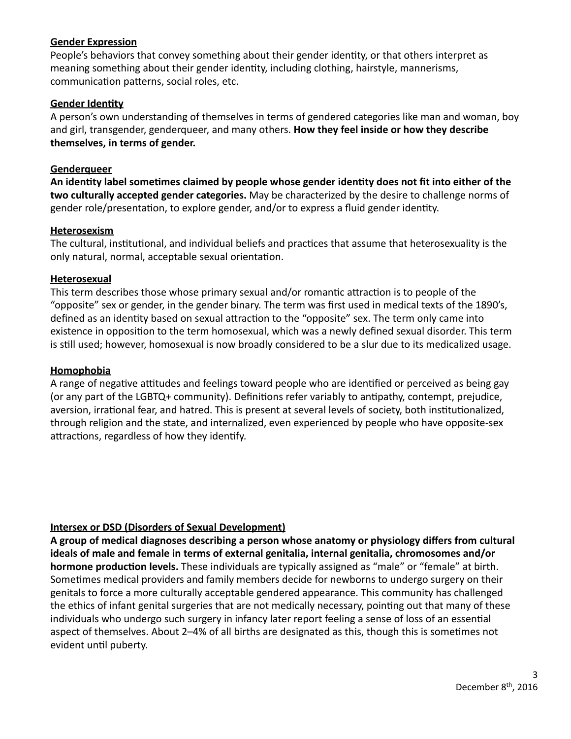#### **Gender Expression**

People's behaviors that convey something about their gender identity, or that others interpret as meaning something about their gender identity, including clothing, hairstyle, mannerisms, communication patterns, social roles, etc.

## **Gender Identity**

A person's own understanding of themselves in terms of gendered categories like man and woman, boy and girl, transgender, genderqueer, and many others. **How they feel inside or how they describe** themselves, in terms of gender.

## **Genderqueer**

An identity label sometimes claimed by people whose gender identity does not fit into either of the two culturally accepted gender categories. May be characterized by the desire to challenge norms of gender role/presentation, to explore gender, and/or to express a fluid gender identity.

## **Heterosexism**

The cultural, institutional, and individual beliefs and practices that assume that heterosexuality is the only natural, normal, acceptable sexual orientation.

## **Heterosexual**

This term describes those whose primary sexual and/or romantic attraction is to people of the "opposite" sex or gender, in the gender binary. The term was first used in medical texts of the 1890's, defined as an identity based on sexual attraction to the "opposite" sex. The term only came into existence in opposition to the term homosexual, which was a newly defined sexual disorder. This term is still used; however, homosexual is now broadly considered to be a slur due to its medicalized usage.

#### **Homophobia**

A range of negative attitudes and feelings toward people who are identified or perceived as being gay (or any part of the LGBTQ+ community). Definitions refer variably to antipathy, contempt, prejudice, aversion, irrational fear, and hatred. This is present at several levels of society, both institutionalized, through religion and the state, and internalized, even experienced by people who have opposite-sex attractions, regardless of how they identify.

## **Intersex or DSD (Disorders of Sexual Development)**

A group of medical diagnoses describing a person whose anatomy or physiology differs from cultural ideals of male and female in terms of external genitalia, internal genitalia, chromosomes and/or **hormone production levels.** These individuals are typically assigned as "male" or "female" at birth. Sometimes medical providers and family members decide for newborns to undergo surgery on their genitals to force a more culturally acceptable gendered appearance. This community has challenged the ethics of infant genital surgeries that are not medically necessary, pointing out that many of these individuals who undergo such surgery in infancy later report feeling a sense of loss of an essential aspect of themselves. About 2–4% of all births are designated as this, though this is sometimes not evident until puberty.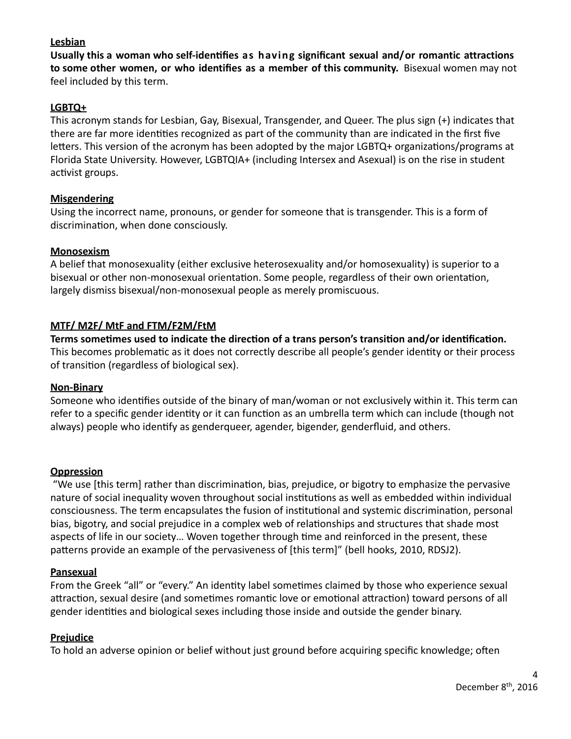## **Lesbian**

**Usually this a woman who self-identifies as having significant sexual and/or romantic attractions to some other women, or who identifies as a member of this community.** Bisexual women may not feel included by this term.

## LGBTQ+

This acronym stands for Lesbian, Gay, Bisexual, Transgender, and Queer. The plus sign (+) indicates that there are far more identities recognized as part of the community than are indicated in the first five letters. This version of the acronym has been adopted by the major LGBTQ+ organizations/programs at Florida State University. However, LGBTQIA+ (including Intersex and Asexual) is on the rise in student activist groups.

## **Misgendering**

Using the incorrect name, pronouns, or gender for someone that is transgender. This is a form of discrimination, when done consciously.

## **Monosexism**

A belief that monosexuality (either exclusive heterosexuality and/or homosexuality) is superior to a bisexual or other non-monosexual orientation. Some people, regardless of their own orientation, largely dismiss bisexual/non-monosexual people as merely promiscuous.

## **MTF/ M2F/ MtF and FTM/F2M/FtM**

Terms sometimes used to indicate the direction of a trans person's transition and/or identification. This becomes problematic as it does not correctly describe all people's gender identity or their process of transition (regardless of biological sex).

#### **Non-Binary**

Someone who identifies outside of the binary of man/woman or not exclusively within it. This term can refer to a specific gender identity or it can function as an umbrella term which can include (though not always) people who identify as genderqueer, agender, bigender, genderfluid, and others.

#### **Oppression**

"We use [this term] rather than discrimination, bias, prejudice, or bigotry to emphasize the pervasive nature of social inequality woven throughout social institutions as well as embedded within individual consciousness. The term encapsulates the fusion of institutional and systemic discrimination, personal bias, bigotry, and social prejudice in a complex web of relationships and structures that shade most aspects of life in our society... Woven together through time and reinforced in the present, these patterns provide an example of the pervasiveness of [this term]" (bell hooks, 2010, RDSJ2).

#### **Pansexual**

From the Greek "all" or "every." An identity label sometimes claimed by those who experience sexual attraction, sexual desire (and sometimes romantic love or emotional attraction) toward persons of all gender identities and biological sexes including those inside and outside the gender binary.

#### **Prejudice**

To hold an adverse opinion or belief without just ground before acquiring specific knowledge; often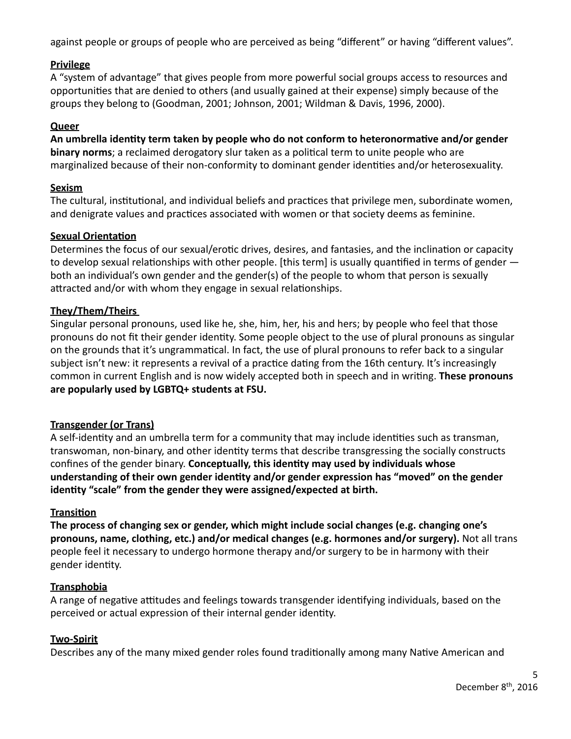against people or groups of people who are perceived as being "different" or having "different values".

# **Privilege**

A "system of advantage" that gives people from more powerful social groups access to resources and opportunities that are denied to others (and usually gained at their expense) simply because of the groups they belong to (Goodman, 2001; Johnson, 2001; Wildman & Davis, 1996, 2000).

## **Queer**

An umbrella identity term taken by people who do not conform to heteronormative and/or gender **binary norms**; a reclaimed derogatory slur taken as a political term to unite people who are marginalized because of their non-conformity to dominant gender identities and/or heterosexuality.

## **Sexism**

The cultural, institutional, and individual beliefs and practices that privilege men, subordinate women, and denigrate values and practices associated with women or that society deems as feminine.

# **Sexual Orientation**

Determines the focus of our sexual/erotic drives, desires, and fantasies, and the inclination or capacity to develop sexual relationships with other people. [this term] is usually quantified in terms of gender  $$ both an individual's own gender and the gender(s) of the people to whom that person is sexually attracted and/or with whom they engage in sexual relationships.

# **They/Them/Theirs**

Singular personal pronouns, used like he, she, him, her, his and hers; by people who feel that those pronouns do not fit their gender identity. Some people object to the use of plural pronouns as singular on the grounds that it's ungrammatical. In fact, the use of plural pronouns to refer back to a singular subject isn't new: it represents a revival of a practice dating from the 16th century. It's increasingly common in current English and is now widely accepted both in speech and in writing. **These pronouns** are popularly used by LGBTQ+ students at FSU.

## **Transgender (or Trans)**

A self-identity and an umbrella term for a community that may include identities such as transman, transwoman, non-binary, and other identity terms that describe transgressing the socially constructs confines of the gender binary. **Conceptually, this identity may used by individuals whose** understanding of their own gender identity and/or gender expression has "moved" on the gender **identity** "scale" from the gender they were assigned/expected at birth.

## **Transition**

The process of changing sex or gender, which might include social changes (e.g. changing one's pronouns, name, clothing, etc.) and/or medical changes (e.g. hormones and/or surgery). Not all trans people feel it necessary to undergo hormone therapy and/or surgery to be in harmony with their gender identity.

## **Transphobia**

A range of negative attitudes and feelings towards transgender identifying individuals, based on the perceived or actual expression of their internal gender identity.

## **Two-Spirit**

Describes any of the many mixed gender roles found traditionally among many Native American and